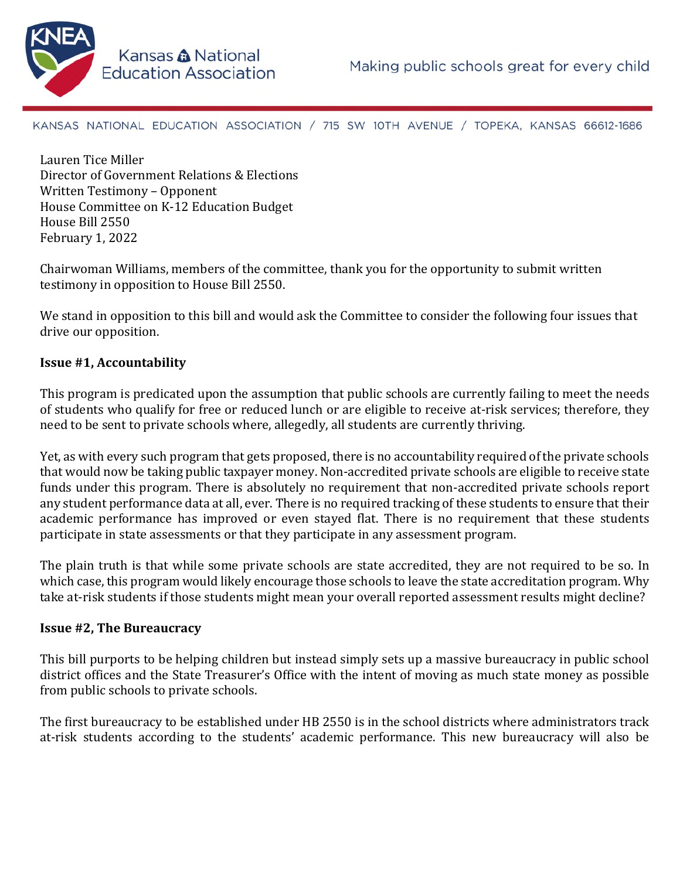

KANSAS NATIONAL EDUCATION ASSOCIATION / 715 SW 10TH AVENUE / TOPEKA, KANSAS 66612-1686

Lauren Tice Miller Director of Government Relations & Elections Written Testimony – Opponent House Committee on K-12 Education Budget House Bill 2550 February 1, 2022

Chairwoman Williams, members of the committee, thank you for the opportunity to submit written testimony in opposition to House Bill 2550.

We stand in opposition to this bill and would ask the Committee to consider the following four issues that drive our opposition.

# **Issue #1, Accountability**

This program is predicated upon the assumption that public schools are currently failing to meet the needs of students who qualify for free or reduced lunch or are eligible to receive at-risk services; therefore, they need to be sent to private schools where, allegedly, all students are currently thriving.

Yet, as with every such program that gets proposed, there is no accountability required of the private schools that would now be taking public taxpayer money. Non-accredited private schools are eligible to receive state funds under this program. There is absolutely no requirement that non-accredited private schools report any student performance data at all, ever. There is no required tracking of these students to ensure that their academic performance has improved or even stayed flat. There is no requirement that these students participate in state assessments or that they participate in any assessment program.

The plain truth is that while some private schools are state accredited, they are not required to be so. In which case, this program would likely encourage those schools to leave the state accreditation program. Why take at-risk students if those students might mean your overall reported assessment results might decline?

## **Issue #2, The Bureaucracy**

This bill purports to be helping children but instead simply sets up a massive bureaucracy in public school district offices and the State Treasurer's Office with the intent of moving as much state money as possible from public schools to private schools.

The first bureaucracy to be established under HB 2550 is in the school districts where administrators track at-risk students according to the students' academic performance. This new bureaucracy will also be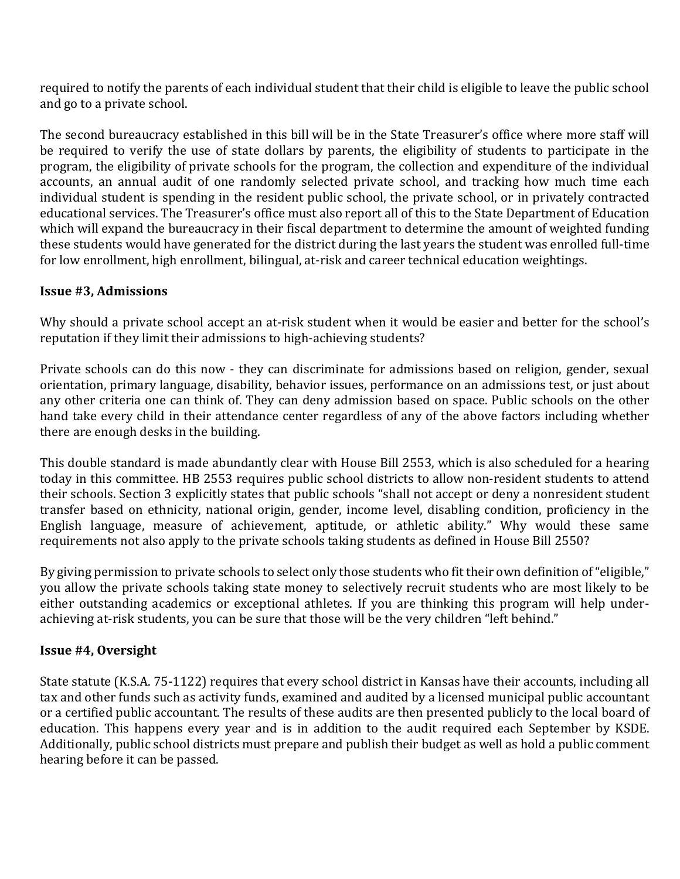required to notify the parents of each individual student that their child is eligible to leave the public school and go to a private school.

The second bureaucracy established in this bill will be in the State Treasurer's office where more staff will be required to verify the use of state dollars by parents, the eligibility of students to participate in the program, the eligibility of private schools for the program, the collection and expenditure of the individual accounts, an annual audit of one randomly selected private school, and tracking how much time each individual student is spending in the resident public school, the private school, or in privately contracted educational services. The Treasurer's office must also report all of this to the State Department of Education which will expand the bureaucracy in their fiscal department to determine the amount of weighted funding these students would have generated for the district during the last years the student was enrolled full-time for low enrollment, high enrollment, bilingual, at-risk and career technical education weightings.

## **Issue #3, Admissions**

Why should a private school accept an at-risk student when it would be easier and better for the school's reputation if they limit their admissions to high-achieving students?

Private schools can do this now - they can discriminate for admissions based on religion, gender, sexual orientation, primary language, disability, behavior issues, performance on an admissions test, or just about any other criteria one can think of. They can deny admission based on space. Public schools on the other hand take every child in their attendance center regardless of any of the above factors including whether there are enough desks in the building.

This double standard is made abundantly clear with House Bill 2553, which is also scheduled for a hearing today in this committee. HB 2553 requires public school districts to allow non-resident students to attend their schools. Section 3 explicitly states that public schools "shall not accept or deny a nonresident student transfer based on ethnicity, national origin, gender, income level, disabling condition, proficiency in the English language, measure of achievement, aptitude, or athletic ability." Why would these same requirements not also apply to the private schools taking students as defined in House Bill 2550?

By giving permission to private schools to select only those students who fit their own definition of "eligible," you allow the private schools taking state money to selectively recruit students who are most likely to be either outstanding academics or exceptional athletes. If you are thinking this program will help underachieving at-risk students, you can be sure that those will be the very children "left behind."

## **Issue #4, Oversight**

State statute (K.S.A. 75-1122) requires that every school district in Kansas have their accounts, including all tax and other funds such as activity funds, examined and audited by a licensed municipal public accountant or a certified public accountant. The results of these audits are then presented publicly to the local board of education. This happens every year and is in addition to the audit required each September by KSDE. Additionally, public school districts must prepare and publish their budget as well as hold a public comment hearing before it can be passed.